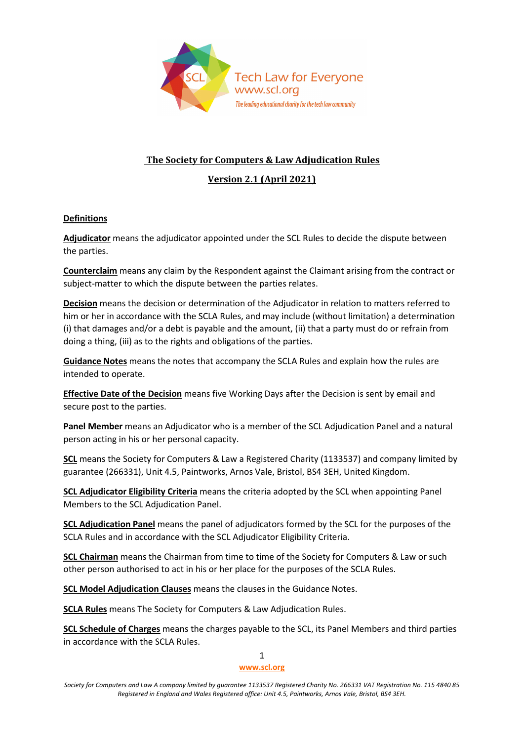

# **The Society for Computers & Law Adjudication Rules**

# **Version 2.1 (April 2021)**

# **Definitions**

**Adjudicator** means the adjudicator appointed under the SCL Rules to decide the dispute between the parties.

**Counterclaim** means any claim by the Respondent against the Claimant arising from the contract or subject-matter to which the dispute between the parties relates.

**Decision** means the decision or determination of the Adjudicator in relation to matters referred to him or her in accordance with the SCLA Rules, and may include (without limitation) a determination (i) that damages and/or a debt is payable and the amount, (ii) that a party must do or refrain from doing a thing, (iii) as to the rights and obligations of the parties.

**Guidance Notes** means the notes that accompany the SCLA Rules and explain how the rules are intended to operate.

**Effective Date of the Decision** means five Working Days after the Decision is sent by email and secure post to the parties.

**Panel Member** means an Adjudicator who is a member of the SCL Adjudication Panel and a natural person acting in his or her personal capacity.

**SCL** means the Society for Computers & Law a Registered Charity (1133537) and company limited by guarantee (266331), Unit 4.5, Paintworks, Arnos Vale, Bristol, BS4 3EH, United Kingdom.

**SCL Adjudicator Eligibility Criteria** means the criteria adopted by the SCL when appointing Panel Members to the SCL Adjudication Panel.

**SCL Adjudication Panel** means the panel of adjudicators formed by the SCL for the purposes of the SCLA Rules and in accordance with the SCL Adjudicator Eligibility Criteria.

**SCL Chairman** means the Chairman from time to time of the Society for Computers & Law or such other person authorised to act in his or her place for the purposes of the SCLA Rules.

**SCL Model Adjudication Clauses** means the clauses in the Guidance Notes.

**SCLA Rules** means The Society for Computers & Law Adjudication Rules.

**SCL Schedule of Charges** means the charges payable to the SCL, its Panel Members and third parties in accordance with the SCLA Rules.

#### 1 **[www.scl.org](http://www.scl.org/)**

*Society for Computers and Law A company limited by guarantee 1133537 Registered Charity No. 266331 VAT Registration No. 115 4840 85 Registered in England and Wales Registered office: Unit 4.5, Paintworks, Arnos Vale, Bristol, BS4 3EH.*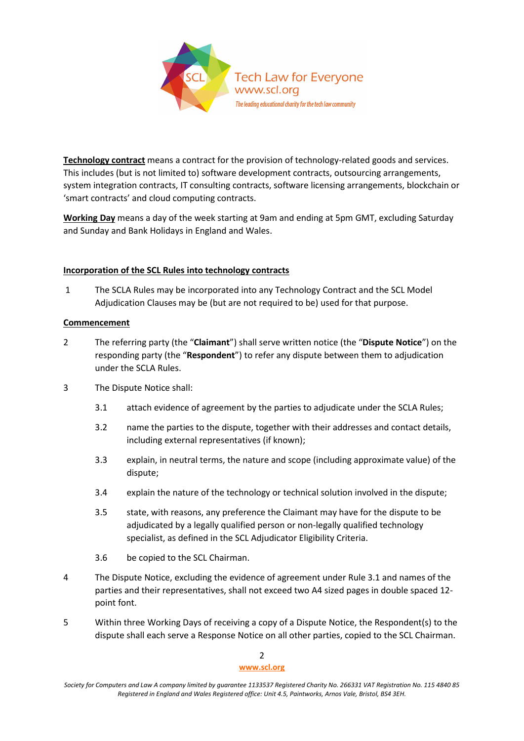

**Technology contract** means a contract for the provision of technology-related goods and services. This includes (but is not limited to) software development contracts, outsourcing arrangements, system integration contracts, IT consulting contracts, software licensing arrangements, blockchain or 'smart contracts' and cloud computing contracts.

**Working Day** means a day of the week starting at 9am and ending at 5pm GMT, excluding Saturday and Sunday and Bank Holidays in England and Wales.

# **Incorporation of the SCL Rules into technology contracts**

1 The SCLA Rules may be incorporated into any Technology Contract and the SCL Model Adjudication Clauses may be (but are not required to be) used for that purpose.

# **Commencement**

- 2 The referring party (the "**Claimant**") shall serve written notice (the "**Dispute Notice**") on the responding party (the "**Respondent**") to refer any dispute between them to adjudication under the SCLA Rules.
- 3 The Dispute Notice shall:
	- 3.1 attach evidence of agreement by the parties to adjudicate under the SCLA Rules;
	- 3.2 name the parties to the dispute, together with their addresses and contact details, including external representatives (if known);
	- 3.3 explain, in neutral terms, the nature and scope (including approximate value) of the dispute;
	- 3.4 explain the nature of the technology or technical solution involved in the dispute;
	- 3.5 state, with reasons, any preference the Claimant may have for the dispute to be adjudicated by a legally qualified person or non-legally qualified technology specialist, as defined in the SCL Adjudicator Eligibility Criteria.
	- 3.6 be copied to the SCL Chairman.
- 4 The Dispute Notice, excluding the evidence of agreement under Rule 3.1 and names of the parties and their representatives, shall not exceed two A4 sized pages in double spaced 12 point font.
- 5 Within three Working Days of receiving a copy of a Dispute Notice, the Respondent(s) to the dispute shall each serve a Response Notice on all other parties, copied to the SCL Chairman.

*Society for Computers and Law A company limited by guarantee 1133537 Registered Charity No. 266331 VAT Registration No. 115 4840 85 Registered in England and Wales Registered office: Unit 4.5, Paintworks, Arnos Vale, Bristol, BS4 3EH.*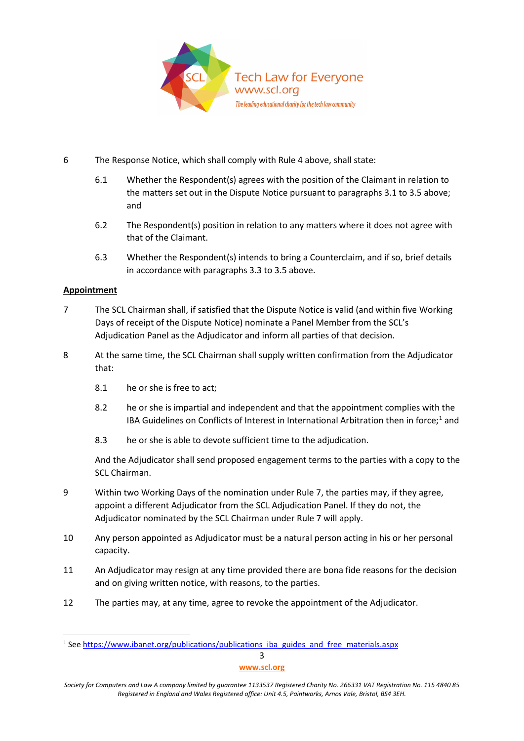

- 6 The Response Notice, which shall comply with Rule 4 above, shall state:
	- 6.1 Whether the Respondent(s) agrees with the position of the Claimant in relation to the matters set out in the Dispute Notice pursuant to paragraphs 3.1 to 3.5 above; and
	- 6.2 The Respondent(s) position in relation to any matters where it does not agree with that of the Claimant.
	- 6.3 Whether the Respondent(s) intends to bring a Counterclaim, and if so, brief details in accordance with paragraphs 3.3 to 3.5 above.

# **Appointment**

- 7 The SCL Chairman shall, if satisfied that the Dispute Notice is valid (and within five Working Days of receipt of the Dispute Notice) nominate a Panel Member from the SCL's Adjudication Panel as the Adjudicator and inform all parties of that decision.
- 8 At the same time, the SCL Chairman shall supply written confirmation from the Adjudicator that:
	- 8.1 he or she is free to act;
	- 8.2 he or she is impartial and independent and that the appointment complies with the IBA Guidelines on Conflicts of Interest in International Arbitration then in force;<sup>[1](#page-2-0)</sup> and
	- 8.3 he or she is able to devote sufficient time to the adjudication.

And the Adjudicator shall send proposed engagement terms to the parties with a copy to the SCL Chairman.

- 9 Within two Working Days of the nomination under Rule 7, the parties may, if they agree, appoint a different Adjudicator from the SCL Adjudication Panel. If they do not, the Adjudicator nominated by the SCL Chairman under Rule 7 will apply.
- 10 Any person appointed as Adjudicator must be a natural person acting in his or her personal capacity.
- 11 An Adjudicator may resign at any time provided there are bona fide reasons for the decision and on giving written notice, with reasons, to the parties.
- 12 The parties may, at any time, agree to revoke the appointment of the Adjudicator.

3

<span id="page-2-0"></span><sup>&</sup>lt;sup>1</sup> See [https://www.ibanet.org/publications/publications\\_iba\\_guides\\_and\\_free\\_materials.aspx](https://www.ibanet.org/publications/publications_iba_guides_and_free_materials.aspx)

**[www.scl.org](http://www.scl.org/)**

*Society for Computers and Law A company limited by guarantee 1133537 Registered Charity No. 266331 VAT Registration No. 115 4840 85 Registered in England and Wales Registered office: Unit 4.5, Paintworks, Arnos Vale, Bristol, BS4 3EH.*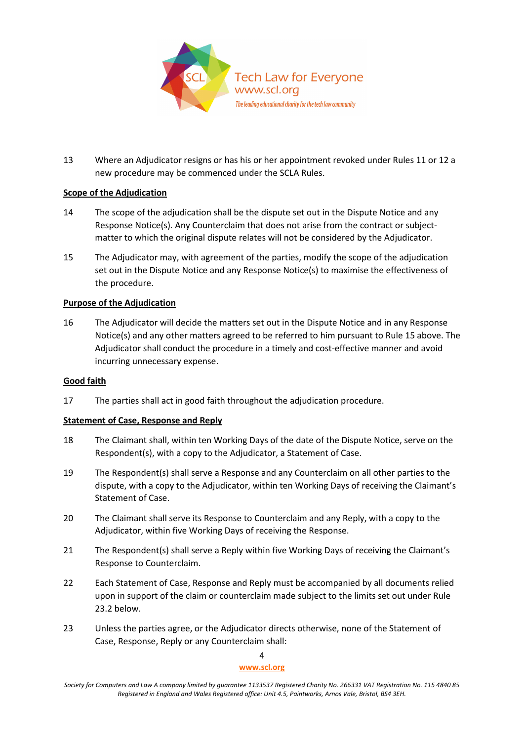

13 Where an Adjudicator resigns or has his or her appointment revoked under Rules 11 or 12 a new procedure may be commenced under the SCLA Rules.

# **Scope of the Adjudication**

- 14 The scope of the adjudication shall be the dispute set out in the Dispute Notice and any Response Notice(s)*.* Any Counterclaim that does not arise from the contract or subjectmatter to which the original dispute relates will not be considered by the Adjudicator.
- 15 The Adjudicator may, with agreement of the parties, modify the scope of the adjudication set out in the Dispute Notice and any Response Notice(s) to maximise the effectiveness of the procedure.

# **Purpose of the Adjudication**

16 The Adjudicator will decide the matters set out in the Dispute Notice and in any Response Notice(s) and any other matters agreed to be referred to him pursuant to Rule 15 above. The Adjudicator shall conduct the procedure in a timely and cost-effective manner and avoid incurring unnecessary expense.

## **Good faith**

17 The parties shall act in good faith throughout the adjudication procedure.

## **Statement of Case, Response and Reply**

- 18 The Claimant shall, within ten Working Days of the date of the Dispute Notice, serve on the Respondent(s), with a copy to the Adjudicator, a Statement of Case.
- 19 The Respondent(s) shall serve a Response and any Counterclaim on all other parties to the dispute, with a copy to the Adjudicator, within ten Working Days of receiving the Claimant's Statement of Case.
- 20 The Claimant shall serve its Response to Counterclaim and any Reply, with a copy to the Adjudicator, within five Working Days of receiving the Response.
- 21 The Respondent(s) shall serve a Reply within five Working Days of receiving the Claimant's Response to Counterclaim.
- 22 Each Statement of Case, Response and Reply must be accompanied by all documents relied upon in support of the claim or counterclaim made subject to the limits set out under Rule 23.2 below.
- 23 Unless the parties agree, or the Adjudicator directs otherwise, none of the Statement of Case, Response, Reply or any Counterclaim shall:

#### 4

*Society for Computers and Law A company limited by guarantee 1133537 Registered Charity No. 266331 VAT Registration No. 115 4840 85 Registered in England and Wales Registered office: Unit 4.5, Paintworks, Arnos Vale, Bristol, BS4 3EH.*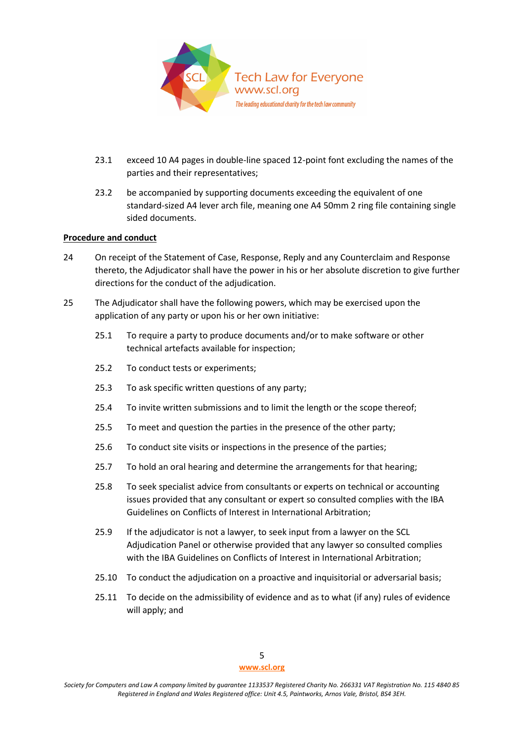

- 23.1 exceed 10 A4 pages in double-line spaced 12-point font excluding the names of the parties and their representatives;
- 23.2 be accompanied by supporting documents exceeding the equivalent of one standard-sized A4 lever arch file, meaning one A4 50mm 2 ring file containing single sided documents.

## **Procedure and conduct**

- 24 On receipt of the Statement of Case, Response, Reply and any Counterclaim and Response thereto, the Adjudicator shall have the power in his or her absolute discretion to give further directions for the conduct of the adjudication.
- 25 The Adjudicator shall have the following powers, which may be exercised upon the application of any party or upon his or her own initiative:
	- 25.1 To require a party to produce documents and/or to make software or other technical artefacts available for inspection;
	- 25.2 To conduct tests or experiments;
	- 25.3 To ask specific written questions of any party;
	- 25.4 To invite written submissions and to limit the length or the scope thereof;
	- 25.5 To meet and question the parties in the presence of the other party;
	- 25.6 To conduct site visits or inspections in the presence of the parties;
	- 25.7 To hold an oral hearing and determine the arrangements for that hearing;
	- 25.8 To seek specialist advice from consultants or experts on technical or accounting issues provided that any consultant or expert so consulted complies with the IBA Guidelines on Conflicts of Interest in International Arbitration;
	- 25.9 If the adjudicator is not a lawyer, to seek input from a lawyer on the SCL Adjudication Panel or otherwise provided that any lawyer so consulted complies with the IBA Guidelines on Conflicts of Interest in International Arbitration;
	- 25.10 To conduct the adjudication on a proactive and inquisitorial or adversarial basis;
	- 25.11 To decide on the admissibility of evidence and as to what (if any) rules of evidence will apply; and

*Society for Computers and Law A company limited by guarantee 1133537 Registered Charity No. 266331 VAT Registration No. 115 4840 85 Registered in England and Wales Registered office: Unit 4.5, Paintworks, Arnos Vale, Bristol, BS4 3EH.*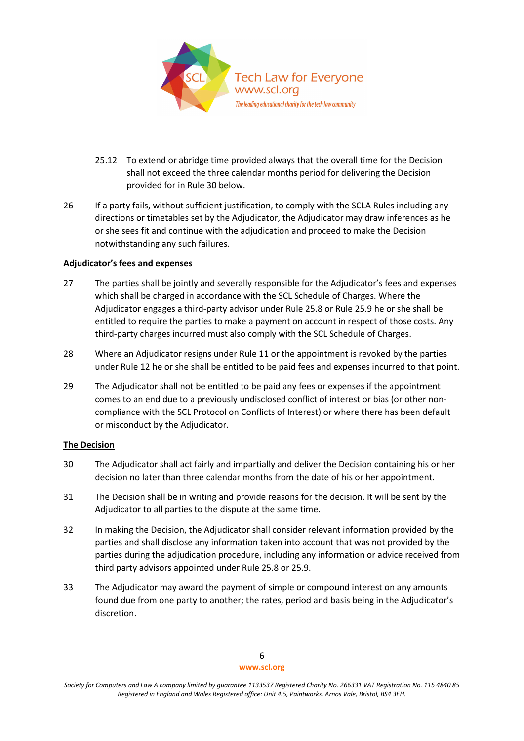

- 25.12 To extend or abridge time provided always that the overall time for the Decision shall not exceed the three calendar months period for delivering the Decision provided for in Rule 30 below.
- 26 If a party fails, without sufficient justification, to comply with the SCLA Rules including any directions or timetables set by the Adjudicator, the Adjudicator may draw inferences as he or she sees fit and continue with the adjudication and proceed to make the Decision notwithstanding any such failures.

## **Adjudicator's fees and expenses**

- 27 The parties shall be jointly and severally responsible for the Adjudicator's fees and expenses which shall be charged in accordance with the SCL Schedule of Charges. Where the Adjudicator engages a third-party advisor under Rule 25.8 or Rule 25.9 he or she shall be entitled to require the parties to make a payment on account in respect of those costs. Any third-party charges incurred must also comply with the SCL Schedule of Charges.
- 28 Where an Adjudicator resigns under Rule 11 or the appointment is revoked by the parties under Rule 12 he or she shall be entitled to be paid fees and expenses incurred to that point.
- 29 The Adjudicator shall not be entitled to be paid any fees or expenses if the appointment comes to an end due to a previously undisclosed conflict of interest or bias (or other noncompliance with the SCL Protocol on Conflicts of Interest) or where there has been default or misconduct by the Adjudicator.

#### **The Decision**

- 30 The Adjudicator shall act fairly and impartially and deliver the Decision containing his or her decision no later than three calendar months from the date of his or her appointment.
- 31 The Decision shall be in writing and provide reasons for the decision. It will be sent by the Adjudicator to all parties to the dispute at the same time.
- 32 In making the Decision, the Adjudicator shall consider relevant information provided by the parties and shall disclose any information taken into account that was not provided by the parties during the adjudication procedure, including any information or advice received from third party advisors appointed under Rule 25.8 or 25.9.
- 33 The Adjudicator may award the payment of simple or compound interest on any amounts found due from one party to another; the rates, period and basis being in the Adjudicator's discretion.

*Society for Computers and Law A company limited by guarantee 1133537 Registered Charity No. 266331 VAT Registration No. 115 4840 85 Registered in England and Wales Registered office: Unit 4.5, Paintworks, Arnos Vale, Bristol, BS4 3EH.*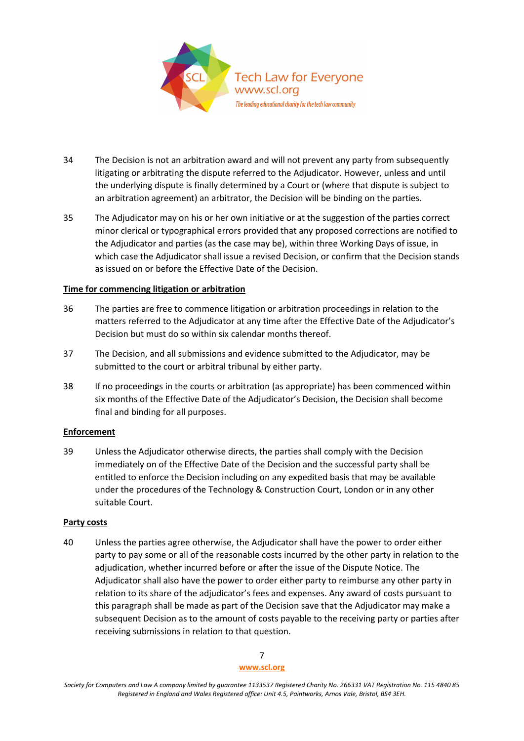

- 34 The Decision is not an arbitration award and will not prevent any party from subsequently litigating or arbitrating the dispute referred to the Adjudicator. However, unless and until the underlying dispute is finally determined by a Court or (where that dispute is subject to an arbitration agreement) an arbitrator, the Decision will be binding on the parties.
- 35 The Adjudicator may on his or her own initiative or at the suggestion of the parties correct minor clerical or typographical errors provided that any proposed corrections are notified to the Adjudicator and parties (as the case may be), within three Working Days of issue, in which case the Adjudicator shall issue a revised Decision, or confirm that the Decision stands as issued on or before the Effective Date of the Decision.

# **Time for commencing litigation or arbitration**

- 36 The parties are free to commence litigation or arbitration proceedings in relation to the matters referred to the Adjudicator at any time after the Effective Date of the Adjudicator's Decision but must do so within six calendar months thereof.
- 37 The Decision, and all submissions and evidence submitted to the Adjudicator, may be submitted to the court or arbitral tribunal by either party.
- 38 If no proceedings in the courts or arbitration (as appropriate) has been commenced within six months of the Effective Date of the Adjudicator's Decision, the Decision shall become final and binding for all purposes.

# **Enforcement**

39 Unless the Adjudicator otherwise directs, the parties shall comply with the Decision immediately on of the Effective Date of the Decision and the successful party shall be entitled to enforce the Decision including on any expedited basis that may be available under the procedures of the Technology & Construction Court, London or in any other suitable Court.

## **Party costs**

40 Unless the parties agree otherwise, the Adjudicator shall have the power to order either party to pay some or all of the reasonable costs incurred by the other party in relation to the adjudication, whether incurred before or after the issue of the Dispute Notice. The Adjudicator shall also have the power to order either party to reimburse any other party in relation to its share of the adjudicator's fees and expenses. Any award of costs pursuant to this paragraph shall be made as part of the Decision save that the Adjudicator may make a subsequent Decision as to the amount of costs payable to the receiving party or parties after receiving submissions in relation to that question.

> 7 **[www.scl.org](http://www.scl.org/)**

*Society for Computers and Law A company limited by guarantee 1133537 Registered Charity No. 266331 VAT Registration No. 115 4840 85 Registered in England and Wales Registered office: Unit 4.5, Paintworks, Arnos Vale, Bristol, BS4 3EH.*